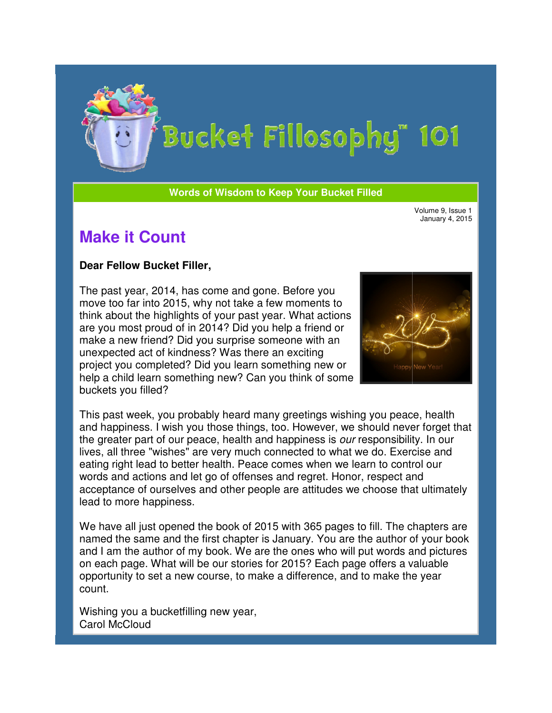

**Words of Wisdom to Keep Your Bucket Filled Wisdom** 

January 4, 2015

## **Make it Count**

## **Dear Fellow Bucket Filler Filler,**

The past year, 2014, has come and gone. Before you move too far into 2015, why not take a few moments to think about the highlights of your past year. What actions are you most proud of in 2014? Did you help a friend or make a new friend? Did you surprise someone with an unexpected act of kindness? Was there an exciting project you completed? Did you learn something new or help a child learn something new? Can you think of some buckets you filled? past year, 2014, has come and gone. Before you<br>ve too far into 2015, why not take a few moments to<br>k about the highlights of your past year. What actions<br>you most proud of in 2014? Did you help a friend or<br>ve a new friend?



This past week, you probably heard many greetings wishing you peace, health and happiness. I wish you those things, too. However, we should never forget that the greater part of our peace, health and happiness is our responsibility. In our lives, all three "wishes" are very much connected to what we do. Exercise and eating right lead to better health. Peace comes when we learn to control our words and actions and let go of offenses and regret. Honor, respect and acceptance of ourselves and other people are attitudes we choose that ultimately lead to more happiness. Wolmes are **Fellow Bucket Filler,**<br>
the past year. 2014, has come and gone. Before you<br>
they altern the simulate and the simulate and the state will be the state of the state of pour past year. What actions<br>
in the same wi

We have all just opened the book of 2015 with 365 pages to fill. The chapters are named the same and the first chapter is January. You are the author of your book and I am the author of my book. We are the ones who will put words and pictures on each page. What will be our stories for 2015? Each page offers a valuable opportunity to set a new course, to make a difference, and to make the year count.

Wishing you a bucketfilling new year, Carol McCloud